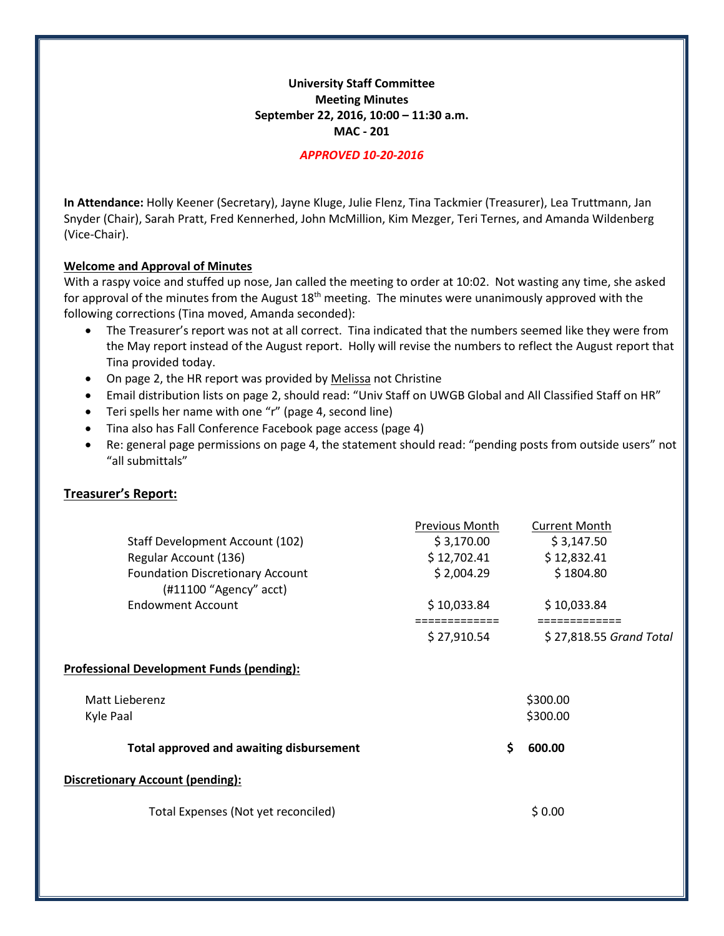# **University Staff Committee Meeting Minutes September 22, 2016, 10:00 – 11:30 a.m. MAC - 201**

#### *APPROVED 10-20-2016*

**In Attendance:** Holly Keener (Secretary), Jayne Kluge, Julie Flenz, Tina Tackmier (Treasurer), Lea Truttmann, Jan Snyder (Chair), Sarah Pratt, Fred Kennerhed, John McMillion, Kim Mezger, Teri Ternes, and Amanda Wildenberg (Vice-Chair).

#### **Welcome and Approval of Minutes**

With a raspy voice and stuffed up nose, Jan called the meeting to order at 10:02. Not wasting any time, she asked for approval of the minutes from the August  $18<sup>th</sup>$  meeting. The minutes were unanimously approved with the following corrections (Tina moved, Amanda seconded):

- The Treasurer's report was not at all correct. Tina indicated that the numbers seemed like they were from the May report instead of the August report. Holly will revise the numbers to reflect the August report that Tina provided today.
- On page 2, the HR report was provided by Melissa not Christine
- Email distribution lists on page 2, should read: "Univ Staff on UWGB Global and All Classified Staff on HR"
- Teri spells her name with one "r" (page 4, second line)
- Tina also has Fall Conference Facebook page access (page 4)
- Re: general page permissions on page 4, the statement should read: "pending posts from outside users" not "all submittals"

## **Treasurer's Report:**

|                                                              | <b>Previous Month</b> | <b>Current Month</b>    |
|--------------------------------------------------------------|-----------------------|-------------------------|
| Staff Development Account (102)                              | \$3,170.00            | \$3,147.50              |
| Regular Account (136)                                        | \$12,702.41           | \$12,832.41             |
| Foundation Discretionary Account<br>$(H11100$ "Agency" acct) | \$2,004.29            | \$1804.80               |
| <b>Endowment Account</b>                                     | \$10,033.84           | \$10,033.84             |
|                                                              | \$27,910.54           | \$27,818.55 Grand Total |
| <b>Professional Development Funds (pending):</b>             |                       |                         |
| Matt Lieberenz                                               |                       | \$300.00                |
| Kyle Paal                                                    |                       | \$300.00                |
| <b>Total approved and awaiting disbursement</b>              | \$                    | 600.00                  |
| <b>Discretionary Account (pending):</b>                      |                       |                         |
| Total Expenses (Not yet reconciled)                          |                       | \$0.00                  |
|                                                              |                       |                         |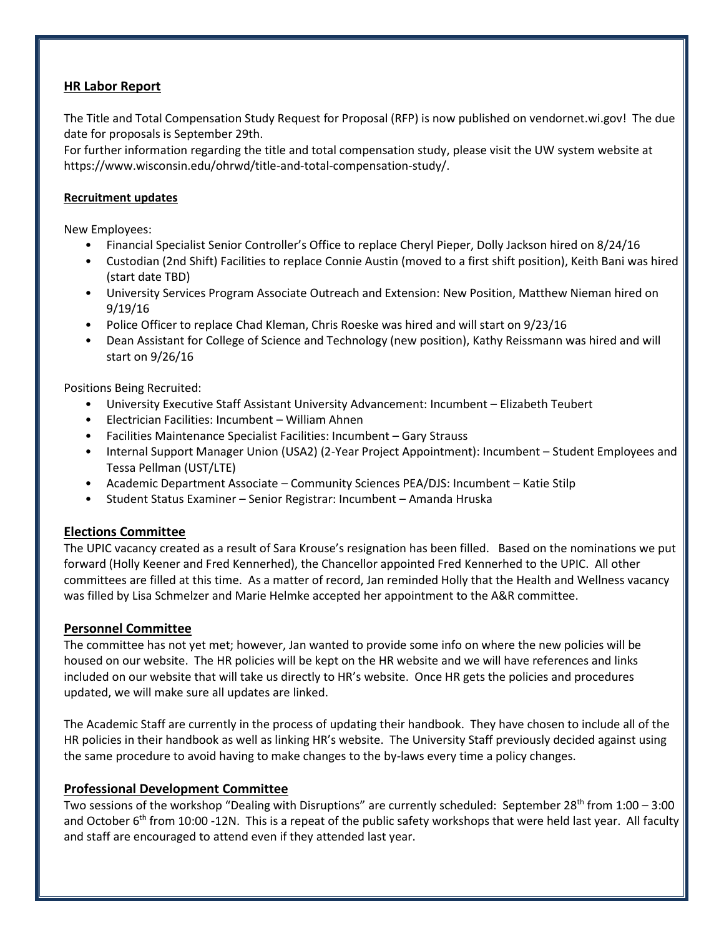# **HR Labor Report**

The Title and Total Compensation Study Request for Proposal (RFP) is now published on vendornet.wi.gov! The due date for proposals is September 29th.

For further information regarding the title and total compensation study, please visit the UW system website at https://www.wisconsin.edu/ohrwd/title-and-total-compensation-study/.

## **Recruitment updates**

New Employees:

- Financial Specialist Senior Controller's Office to replace Cheryl Pieper, Dolly Jackson hired on 8/24/16
- Custodian (2nd Shift) Facilities to replace Connie Austin (moved to a first shift position), Keith Bani was hired (start date TBD)
- University Services Program Associate Outreach and Extension: New Position, Matthew Nieman hired on 9/19/16
- Police Officer to replace Chad Kleman, Chris Roeske was hired and will start on 9/23/16
- Dean Assistant for College of Science and Technology (new position), Kathy Reissmann was hired and will start on 9/26/16

Positions Being Recruited:

- University Executive Staff Assistant University Advancement: Incumbent Elizabeth Teubert
- Electrician Facilities: Incumbent William Ahnen
- Facilities Maintenance Specialist Facilities: Incumbent Gary Strauss
- Internal Support Manager Union (USA2) (2-Year Project Appointment): Incumbent Student Employees and Tessa Pellman (UST/LTE)
- Academic Department Associate Community Sciences PEA/DJS: Incumbent Katie Stilp
- Student Status Examiner Senior Registrar: Incumbent Amanda Hruska

# **Elections Committee**

The UPIC vacancy created as a result of Sara Krouse's resignation has been filled. Based on the nominations we put forward (Holly Keener and Fred Kennerhed), the Chancellor appointed Fred Kennerhed to the UPIC. All other committees are filled at this time. As a matter of record, Jan reminded Holly that the Health and Wellness vacancy was filled by Lisa Schmelzer and Marie Helmke accepted her appointment to the A&R committee.

## **Personnel Committee**

The committee has not yet met; however, Jan wanted to provide some info on where the new policies will be housed on our website. The HR policies will be kept on the HR website and we will have references and links included on our website that will take us directly to HR's website. Once HR gets the policies and procedures updated, we will make sure all updates are linked.

The Academic Staff are currently in the process of updating their handbook. They have chosen to include all of the HR policies in their handbook as well as linking HR's website. The University Staff previously decided against using the same procedure to avoid having to make changes to the by-laws every time a policy changes.

# **Professional Development Committee**

Two sessions of the workshop "Dealing with Disruptions" are currently scheduled: September 28th from 1:00 – 3:00 and October 6<sup>th</sup> from 10:00 -12N. This is a repeat of the public safety workshops that were held last year. All faculty and staff are encouraged to attend even if they attended last year.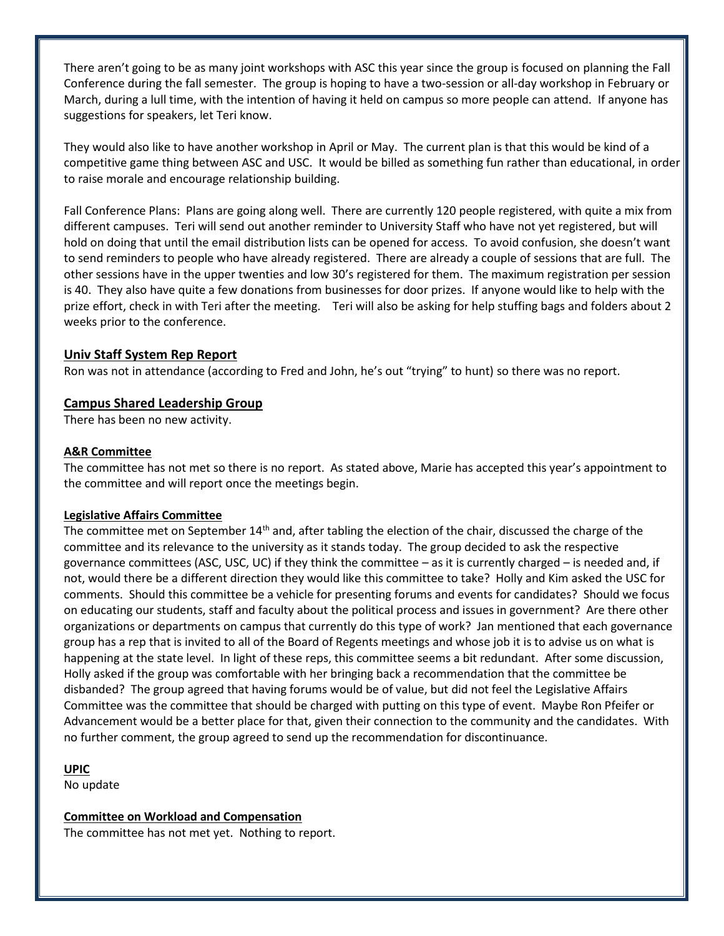There aren't going to be as many joint workshops with ASC this year since the group is focused on planning the Fall Conference during the fall semester. The group is hoping to have a two-session or all-day workshop in February or March, during a lull time, with the intention of having it held on campus so more people can attend. If anyone has suggestions for speakers, let Teri know.

They would also like to have another workshop in April or May. The current plan is that this would be kind of a competitive game thing between ASC and USC. It would be billed as something fun rather than educational, in order to raise morale and encourage relationship building.

Fall Conference Plans: Plans are going along well. There are currently 120 people registered, with quite a mix from different campuses. Teri will send out another reminder to University Staff who have not yet registered, but will hold on doing that until the email distribution lists can be opened for access. To avoid confusion, she doesn't want to send reminders to people who have already registered. There are already a couple of sessions that are full. The other sessions have in the upper twenties and low 30's registered for them. The maximum registration per session is 40. They also have quite a few donations from businesses for door prizes. If anyone would like to help with the prize effort, check in with Teri after the meeting. Teri will also be asking for help stuffing bags and folders about 2 weeks prior to the conference.

## **Univ Staff System Rep Report**

Ron was not in attendance (according to Fred and John, he's out "trying" to hunt) so there was no report.

## **Campus Shared Leadership Group**

There has been no new activity.

#### **A&R Committee**

The committee has not met so there is no report. As stated above, Marie has accepted this year's appointment to the committee and will report once the meetings begin.

#### **Legislative Affairs Committee**

The committee met on September 14<sup>th</sup> and, after tabling the election of the chair, discussed the charge of the committee and its relevance to the university as it stands today. The group decided to ask the respective governance committees (ASC, USC, UC) if they think the committee – as it is currently charged – is needed and, if not, would there be a different direction they would like this committee to take? Holly and Kim asked the USC for comments. Should this committee be a vehicle for presenting forums and events for candidates? Should we focus on educating our students, staff and faculty about the political process and issues in government? Are there other organizations or departments on campus that currently do this type of work? Jan mentioned that each governance group has a rep that is invited to all of the Board of Regents meetings and whose job it is to advise us on what is happening at the state level. In light of these reps, this committee seems a bit redundant. After some discussion, Holly asked if the group was comfortable with her bringing back a recommendation that the committee be disbanded? The group agreed that having forums would be of value, but did not feel the Legislative Affairs Committee was the committee that should be charged with putting on this type of event. Maybe Ron Pfeifer or Advancement would be a better place for that, given their connection to the community and the candidates. With no further comment, the group agreed to send up the recommendation for discontinuance.

#### **UPIC**

No update

## **Committee on Workload and Compensation**

The committee has not met yet. Nothing to report.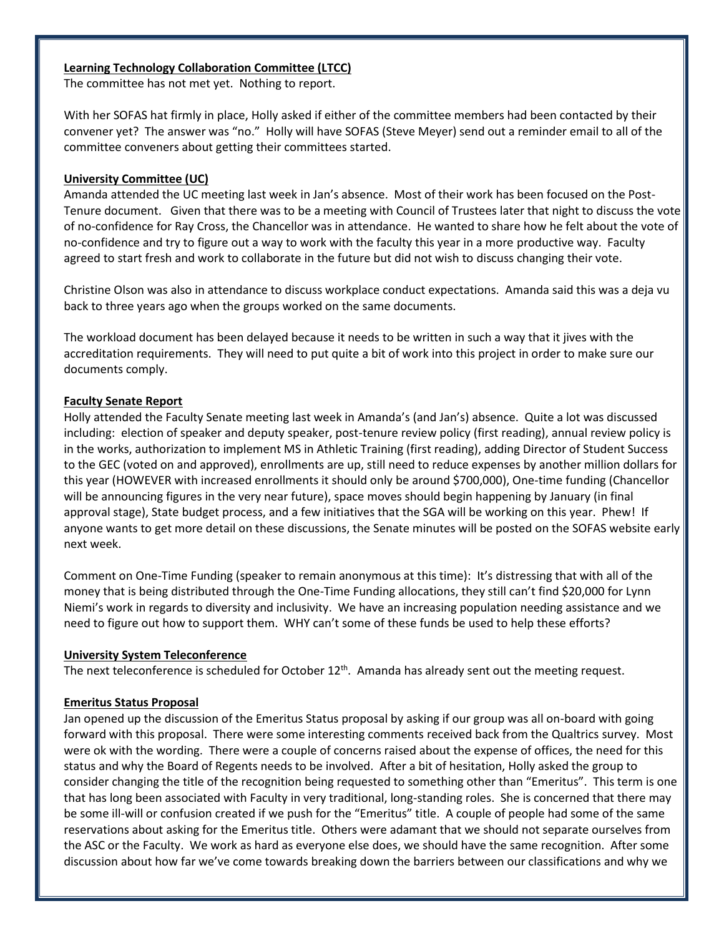## **Learning Technology Collaboration Committee (LTCC)**

The committee has not met yet. Nothing to report.

With her SOFAS hat firmly in place, Holly asked if either of the committee members had been contacted by their convener yet? The answer was "no." Holly will have SOFAS (Steve Meyer) send out a reminder email to all of the committee conveners about getting their committees started.

#### **University Committee (UC)**

Amanda attended the UC meeting last week in Jan's absence. Most of their work has been focused on the Post-Tenure document. Given that there was to be a meeting with Council of Trustees later that night to discuss the vote of no-confidence for Ray Cross, the Chancellor was in attendance. He wanted to share how he felt about the vote of no-confidence and try to figure out a way to work with the faculty this year in a more productive way. Faculty agreed to start fresh and work to collaborate in the future but did not wish to discuss changing their vote.

Christine Olson was also in attendance to discuss workplace conduct expectations. Amanda said this was a deja vu back to three years ago when the groups worked on the same documents.

The workload document has been delayed because it needs to be written in such a way that it jives with the accreditation requirements. They will need to put quite a bit of work into this project in order to make sure our documents comply.

#### **Faculty Senate Report**

Holly attended the Faculty Senate meeting last week in Amanda's (and Jan's) absence. Quite a lot was discussed including: election of speaker and deputy speaker, post-tenure review policy (first reading), annual review policy is in the works, authorization to implement MS in Athletic Training (first reading), adding Director of Student Success to the GEC (voted on and approved), enrollments are up, still need to reduce expenses by another million dollars for this year (HOWEVER with increased enrollments it should only be around \$700,000), One-time funding (Chancellor will be announcing figures in the very near future), space moves should begin happening by January (in final approval stage), State budget process, and a few initiatives that the SGA will be working on this year. Phew! If anyone wants to get more detail on these discussions, the Senate minutes will be posted on the SOFAS website early next week.

Comment on One-Time Funding (speaker to remain anonymous at this time): It's distressing that with all of the money that is being distributed through the One-Time Funding allocations, they still can't find \$20,000 for Lynn Niemi's work in regards to diversity and inclusivity. We have an increasing population needing assistance and we need to figure out how to support them. WHY can't some of these funds be used to help these efforts?

#### **University System Teleconference**

The next teleconference is scheduled for October  $12<sup>th</sup>$ . Amanda has already sent out the meeting request.

#### **Emeritus Status Proposal**

Jan opened up the discussion of the Emeritus Status proposal by asking if our group was all on-board with going forward with this proposal. There were some interesting comments received back from the Qualtrics survey. Most were ok with the wording. There were a couple of concerns raised about the expense of offices, the need for this status and why the Board of Regents needs to be involved. After a bit of hesitation, Holly asked the group to consider changing the title of the recognition being requested to something other than "Emeritus". This term is one that has long been associated with Faculty in very traditional, long-standing roles. She is concerned that there may be some ill-will or confusion created if we push for the "Emeritus" title. A couple of people had some of the same reservations about asking for the Emeritus title. Others were adamant that we should not separate ourselves from the ASC or the Faculty. We work as hard as everyone else does, we should have the same recognition. After some discussion about how far we've come towards breaking down the barriers between our classifications and why we